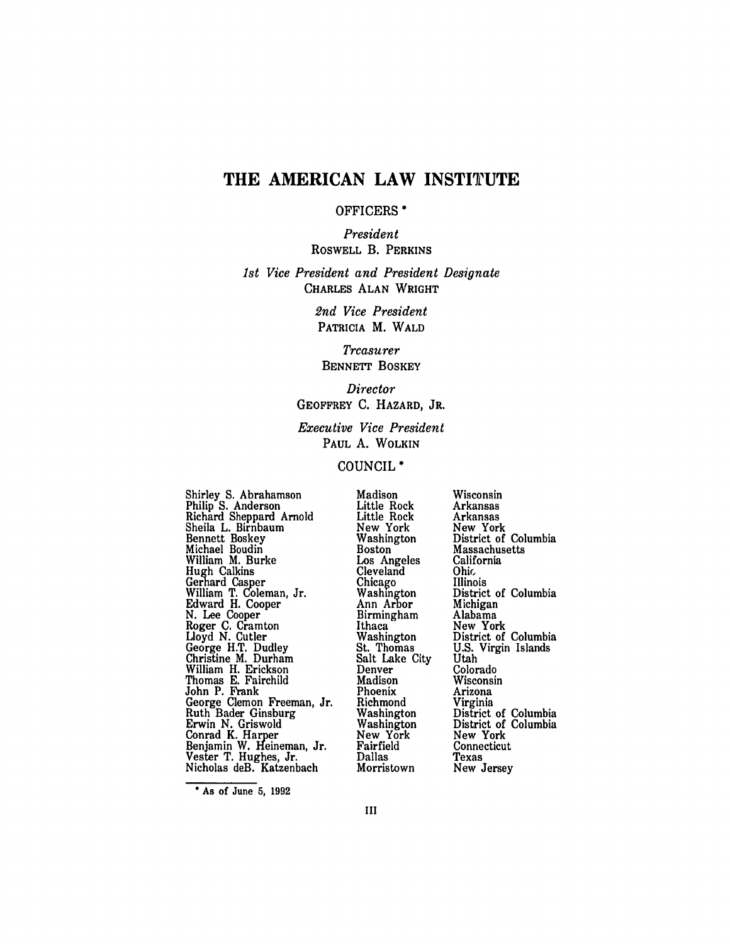# **THE AMERICAN LAW INSTITUTE**

### OFFICERS \*

*President* ROSWELL B. PERKINS

1st *Vice President and President Designate* CHARLES **ALAN** WRIGHT

> *2nd Vice President* PATRICIA M. WALD

# *Treasurer* **BENNETT** BOSKEY

*Director* GEOFFREY **C.** HAZARD, JR.

# *Executive Vice President* PAUL **A.** WOLKIN

# COUNCIL \*

Shirley **S.** Abrahamson Philip **S.** Anderson Richard Sheppard Arnold Sheila L. Birnbaum Bennett Boskey Michael Boudin William M. Burke Hugh Calkins Gerhard Casper<br>William T. Coleman, Jr. Edward H. Cooper **N.** Lee Cooper Roger **C.** Cramton Lloyd **N.** Cutler George H.T. Dudley<br>Christine M. Durham William H. Erickson Thomas **E.** Fairchild John P. Frank George Clemon Freeman, Jr. Ruth Bader Ginsburg Erwin **N.** Griswold Conrad K. Harper Benjamin W. Heineman, Jr. Vester T. Hughes, Jr. Nicholas deB. Katzenbach

Madison Little Rock Little Rock New York Washington Boston Los Angeles Cleveland Chicago Washington Ann Arbor Birmingham Ithaca Washington St. Thomas Salt Lake City Denver Madison Phoenix Richmond Washington Washington New York Fairfield Dallas Morristown

Wisconsin Arkansas Arkansas New York District of Columbia **Massachusetts** California  $Ohic$ Illinois District of Columbia Michigan Alabama New York District of Columbia **U.S.** Virgin Islands Utah Colorado Wisconsin Arizona Virginia District of Columbia District of Columbia New York Connecticut Texas New Jersey

**\*** As of June **5, 1992**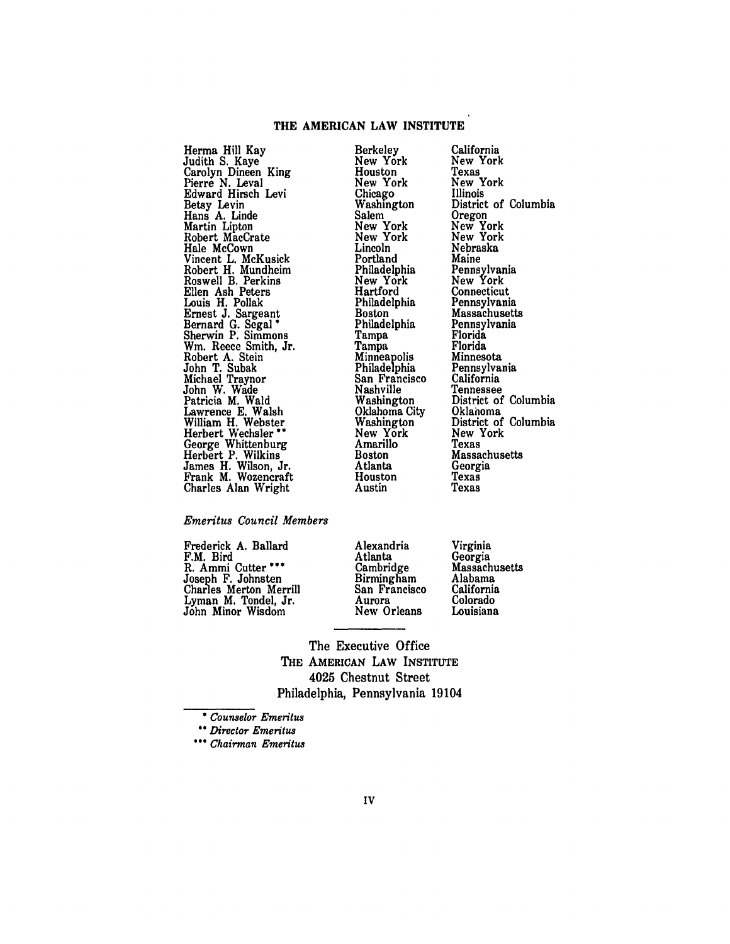# THE **AMERICAN** LAW INSTITUTE

Berkeley

Herma Hill Kay Judith **S.** Kaye Carolyn Dineen King Pierre **N.** Leval Edward Hirsch Levi Betsy Levin Hans **A.** Linde Martin Lipton Robert MacCrate Hale McCown Vincent L. McKusick Robert H. Mundheim Roswell B. Perkins Ellen Ash Peters Louis H. Pollak Ernest J. Sargeant Bernard G. Segal **\*** Sherwin P. Simmons Win. Reece Smith, Jr. Robert A. Stein John T. Subak Michael Traynor John W. Wade Patricia M. Wald Lawrence **E.** Walsh William H. Webster Herbert Wechsler **"** George Whittenburg Herbert P. Wilkins James H. Wilson, Jr. Frank M. Wozencraft Charles Alan Wright

New York Houston New York Chicago Washington Salem New York New York Lincoln Portland Philadelphia New York **Hartford** Philadelphia Boston Philadelphia Tampa Tampa Minneapolis Philadelphia San Francisco Nashville Washington Oklahoma City Washington New York Amarillo Boston Atlanta Houston Austin

New York Texas New York Illinois District of Columbia Oregon New York New York Nebraska<br>Maine Maine **Pennsylania** New York **Connecticut** Pennsylvania Massachusetts Pennsylvania Florida Florida Minnesota Pennsylvania California Tennessee District of Columbia Oklanoma District of Columbia New York Texas Massachusetts Georgia Texas Texas

California

#### *Emeritus Council Members*

| Frederick A. Ballard   | Alexandria    | Virginia      |
|------------------------|---------------|---------------|
| F.M. Bird              | Atlanta       | Georgia       |
| R. Ammi Cutter ***     | Cambridge     | Massachusetts |
| Joseph F. Johnsten     | Birmingham    | Alabama       |
| Charles Merton Merrill | San Francisco | California    |
| Lyman M. Tondel, Jr.   | Aurora        | Colorado      |
| John Minor Wisdom      | New Orleans   | Louisiana     |

The Executive Office THE AMERICAN LAW INSTITUTE 4025 Chestnut Street Philadelphia, Pennsylvania 19104

*\* Counselor Emeritus*

*\* Director Emeritus*

*\*\*\* Chairman Emeritus*